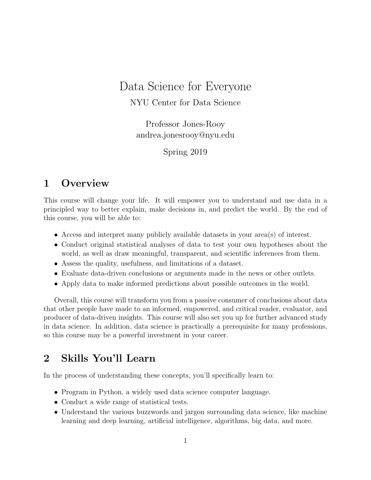# Data Science for Everyone NYU Center for Data Science

Professor Jones-Rooy andrea.jonesrooy@nyu.edu

Spring 2019

# 1 Overview

This course will change your life. It will empower you to understand and use data in a principled way to better explain, make decisions in, and predict the world. By the end of this course, you will be able to:

- Access and interpret many publicly available datasets in your area(s) of interest.
- Conduct original statistical analyses of data to test your own hypotheses about the world, as well as draw meaningful, transparent, and scientific inferences from them.
- Assess the quality, usefulness, and limitations of a dataset.
- Evaluate data-driven conclusions or arguments made in the news or other outlets.
- Apply data to make informed predictions about possible outcomes in the world.

Overall, this course will transform you from a passive consumer of conclusions about data that other people have made to an informed, empowered, and critical reader, evaluator, and producer of data-driven insights. This course will also set you up for further advanced study in data science. In addition, data science is practically a prerequisite for many professions, so this course may be a powerful investment in your career.

# 2 Skills You'll Learn

In the process of understanding these concepts, you'll specifically learn to:

- Program in Python, a widely used data science computer language.
- Conduct a wide range of statistical tests.
- Understand the various buzzwords and jargon surrounding data science, like machine learning and deep learning, artificial intelligence, algorithms, big data, and more.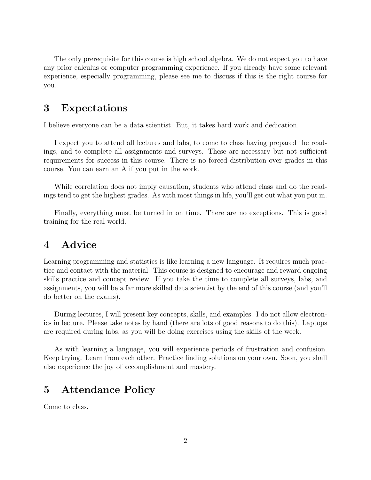The only prerequisite for this course is high school algebra. We do not expect you to have any prior calculus or computer programming experience. If you already have some relevant experience, especially programming, please see me to discuss if this is the right course for you.

### 3 Expectations

I believe everyone can be a data scientist. But, it takes hard work and dedication.

I expect you to attend all lectures and labs, to come to class having prepared the readings, and to complete all assignments and surveys. These are necessary but not sufficient requirements for success in this course. There is no forced distribution over grades in this course. You can earn an A if you put in the work.

While correlation does not imply causation, students who attend class and do the readings tend to get the highest grades. As with most things in life, you'll get out what you put in.

Finally, everything must be turned in on time. There are no exceptions. This is good training for the real world.

### 4 Advice

Learning programming and statistics is like learning a new language. It requires much practice and contact with the material. This course is designed to encourage and reward ongoing skills practice and concept review. If you take the time to complete all surveys, labs, and assignments, you will be a far more skilled data scientist by the end of this course (and you'll do better on the exams).

During lectures, I will present key concepts, skills, and examples. I do not allow electronics in lecture. Please take notes by hand (there are lots of good reasons to do this). Laptops are required during labs, as you will be doing exercises using the skills of the week.

As with learning a language, you will experience periods of frustration and confusion. Keep trying. Learn from each other. Practice finding solutions on your own. Soon, you shall also experience the joy of accomplishment and mastery.

## 5 Attendance Policy

Come to class.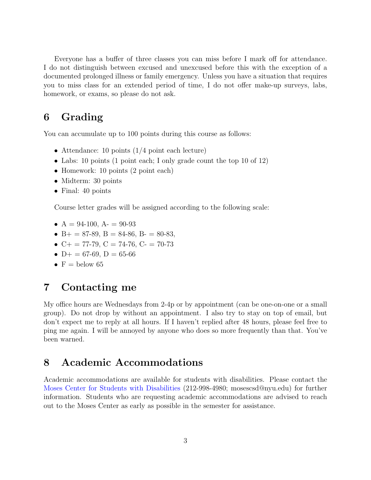Everyone has a buffer of three classes you can miss before I mark off for attendance. I do not distinguish between excused and unexcused before this with the exception of a documented prolonged illness or family emergency. Unless you have a situation that requires you to miss class for an extended period of time, I do not offer make-up surveys, labs, homework, or exams, so please do not ask.

# 6 Grading

You can accumulate up to 100 points during this course as follows:

- Attendance: 10 points (1/4 point each lecture)
- Labs: 10 points (1 point each; I only grade count the top 10 of 12)
- Homework: 10 points (2 point each)
- Midterm: 30 points
- Final: 40 points

Course letter grades will be assigned according to the following scale:

- $A = 94-100$ ,  $A = 90-93$
- B+ = 87-89, B = 84-86, B- = 80-83,
- $C_{+}$  = 77-79,  $C = 74$ -76,  $C_{-}$  = 70-73
- $D+ = 67-69$ ,  $D = 65-66$
- $F =$  below 65

### 7 Contacting me

My office hours are Wednesdays from 2-4p or by appointment (can be one-on-one or a small group). Do not drop by without an appointment. I also try to stay on top of email, but don't expect me to reply at all hours. If I haven't replied after 48 hours, please feel free to ping me again. I will be annoyed by anyone who does so more frequently than that. You've been warned.

## 8 Academic Accommodations

Academic accommodations are available for students with disabilities. Please contact the [Moses Center for Students with Disabilities](https://www.nyu.edu/students/communities-and-groups/students-with-disabilities.html) (212-998-4980; mosescsd@nyu.edu) for further information. Students who are requesting academic accommodations are advised to reach out to the Moses Center as early as possible in the semester for assistance.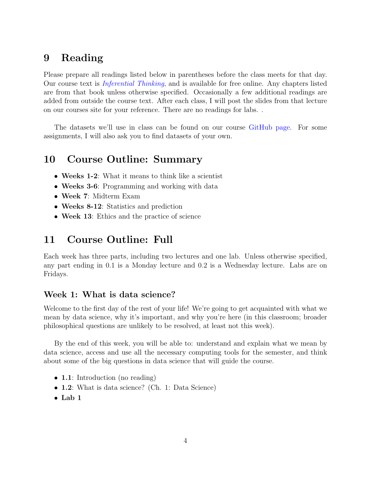# 9 Reading

Please prepare all readings listed below in parentheses before the class meets for that day. Our course text is [Inferential Thinking](https://www.inferentialthinking.com/chapters/intro), and is available for free online. Any chapters listed are from that book unless otherwise specified. Occasionally a few additional readings are added from outside the course text. After each class, I will post the slides from that lecture on our courses site for your reference. There are no readings for labs. .

The datasets we'll use in class can be found on our course [GitHub page.](https://github.com/ajr348) For some assignments, I will also ask you to find datasets of your own.

### 10 Course Outline: Summary

- Weeks 1-2: What it means to think like a scientist
- Weeks 3-6: Programming and working with data
- Week 7: Midterm Exam
- Weeks 8-12: Statistics and prediction
- Week 13: Ethics and the practice of science

### 11 Course Outline: Full

Each week has three parts, including two lectures and one lab. Unless otherwise specified, any part ending in 0.1 is a Monday lecture and 0.2 is a Wednesday lecture. Labs are on Fridays.

#### Week 1: What is data science?

Welcome to the first day of the rest of your life! We're going to get acquainted with what we mean by data science, why it's important, and why you're here (in this classroom; broader philosophical questions are unlikely to be resolved, at least not this week).

By the end of this week, you will be able to: understand and explain what we mean by data science, access and use all the necessary computing tools for the semester, and think about some of the big questions in data science that will guide the course.

- **1.1**: Introduction (no reading)
- 1.2: What is data science? (Ch. 1: Data Science)
- Lab  $1$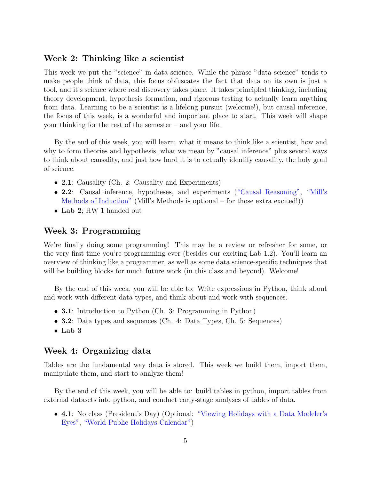#### Week 2: Thinking like a scientist

This week we put the "science" in data science. While the phrase "data science" tends to make people think of data, this focus obfuscates the fact that data on its own is just a tool, and it's science where real discovery takes place. It takes principled thinking, including theory development, hypothesis formation, and rigorous testing to actually learn anything from data. Learning to be a scientist is a lifelong pursuit (welcome!), but causal inference, the focus of this week, is a wonderful and important place to start. This week will shape your thinking for the rest of the semester – and your life.

By the end of this week, you will learn: what it means to think like a scientist, how and why to form theories and hypothesis, what we mean by "causal inference" plus several ways to think about causality, and just how hard it is to actually identify causality, the holy grail of science.

- 2.1: Causality (Ch. 2: Causality and Experiments)
- 2.2: Causal inference, hypotheses, and experiments [\("Causal Reasoning",](http://www.philosophypages.com/lg/e14.htm) ["Mill's](https://www.encyclopedia.com/humanities/encyclopedias-almanacs-transcripts-and-maps/mills-methods-induction) [Methods of Induction"](https://www.encyclopedia.com/humanities/encyclopedias-almanacs-transcripts-and-maps/mills-methods-induction) (Mill's Methods is optional – for those extra excited!))
- Lab 2; HW 1 handed out

#### Week 3: Programming

We're finally doing some programming! This may be a review or refresher for some, or the very first time you're programming ever (besides our exciting Lab 1.2). You'll learn an overview of thinking like a programmer, as well as some data science-specific techniques that will be building blocks for much future work (in this class and beyond). Welcome!

By the end of this week, you will be able to: Write expressions in Python, think about and work with different data types, and think about and work with sequences.

- **3.1**: Introduction to Python (Ch. 3: Programming in Python)
- **3.2**: Data types and sequences (Ch. 4: Data Types, Ch. 5: Sequences)
- Lab 3

#### Week 4: Organizing data

Tables are the fundamental way data is stored. This week we build them, import them, manipulate them, and start to analyze them!

By the end of this week, you will be able to: build tables in python, import tables from external datasets into python, and conduct early-stage analyses of tables of data.

• 4.1: No class (President's Day) (Optional: ["Viewing Holidays with a Data Modeler's](https://www.vertabelo.com/blog/technical-articles/viewing-holidays-with-data-modelers-eyes) [Eyes",](https://www.vertabelo.com/blog/technical-articles/viewing-holidays-with-data-modelers-eyes) ["World Public Holidays Calendar"\)](https://public.tableau.com/profile/fredfery#!/vizhome/MakeoverMondayWeek442017WorldpublicholidaysCalendar/Dashboard1)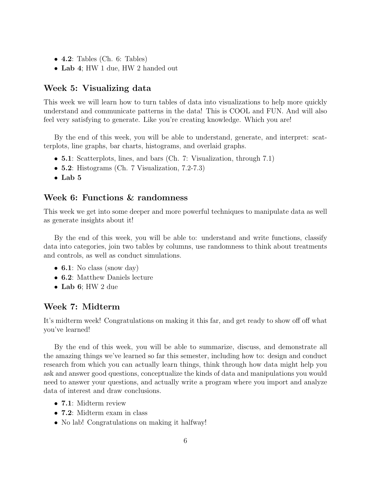- $\bullet$  4.2: Tables (Ch. 6: Tables)
- Lab 4; HW 1 due, HW 2 handed out

#### Week 5: Visualizing data

This week we will learn how to turn tables of data into visualizations to help more quickly understand and communicate patterns in the data! This is COOL and FUN. And will also feel very satisfying to generate. Like you're creating knowledge. Which you are!

By the end of this week, you will be able to understand, generate, and interpret: scatterplots, line graphs, bar charts, histograms, and overlaid graphs.

- **5.1**: Scatterplots, lines, and bars (Ch. 7: Visualization, through 7.1)
- **5.2**: Histograms (Ch. 7 Visualization, 7.2-7.3)
- $\bullet$  Lab 5

#### Week 6: Functions & randomness

This week we get into some deeper and more powerful techniques to manipulate data as well as generate insights about it!

By the end of this week, you will be able to: understand and write functions, classify data into categories, join two tables by columns, use randomness to think about treatments and controls, as well as conduct simulations.

- 6.1: No class (snow day)
- 6.2: Matthew Daniels lecture
- Lab 6; HW 2 due

#### Week 7: Midterm

It's midterm week! Congratulations on making it this far, and get ready to show off off what you've learned!

By the end of this week, you will be able to summarize, discuss, and demonstrate all the amazing things we've learned so far this semester, including how to: design and conduct research from which you can actually learn things, think through how data might help you ask and answer good questions, conceptualize the kinds of data and manipulations you would need to answer your questions, and actually write a program where you import and analyze data of interest and draw conclusions.

- 7.1: Midterm review
- 7.2: Midterm exam in class
- No lab! Congratulations on making it halfway!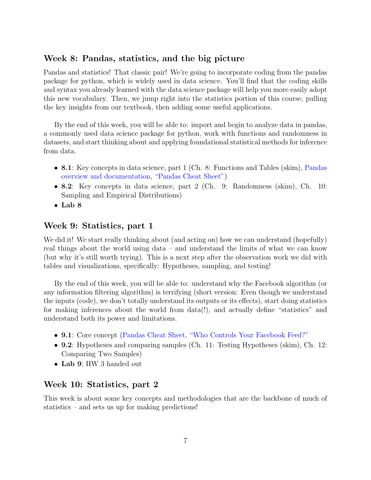#### Week 8: Pandas, statistics, and the big picture

Pandas and statistics! That classic pair! We're going to incorporate coding from the pandas package for python, which is widely used in data science. You'll find that the coding skills and syntax you already learned with the data science package will help you more easily adopt this new vocabulary. Then, we jump right into the statistics portion of this course, pulling the key insights from our textbook, then adding some useful applications.

By the end of this week, you will be able to: import and begin to analyze data in pandas, a commonly used data science package for python, work with functions and randomness in datasets, and start thinking about and applying foundational statistical methods for inference from data.

- 8.1: Key concepts in data science, part 1 (Ch. 8: Functions and Tables (skim), [Pandas](http://pandas.pydata.org) [overview and documentation,](http://pandas.pydata.org) ["Pandas Cheat Sheet"\)](https://www.datacamp.com/community/blog/python-pandas-cheat-sheet)
- 8.2: Key concepts in data science, part 2 (Ch. 9: Randomness (skim), Ch. 10: Sampling and Empirical Distributions)
- Lab 8

#### Week 9: Statistics, part 1

We did it! We start really thinking about (and acting on) how we can understand (hopefully) real things about the world using data – and understand the limits of what we can know (but why it's still worth trying). This is a next step after the observation work we did with tables and visualizations, specifically: Hypotheses, sampling, and testing!

By the end of this week, you will be able to: understand why the Facebook algorithm (or any information filtering algorithm) is terrifying (short version: Even though we understand the inputs (code), we don't totally understand its outputs or its effects), start doing statistics for making inferences about the world from data(!), and actually define "statistics" and understand both its power and limitations.

- 9.1: Core concept [\(Pandas Cheat Sheet,](https://pandas.pydata.org/Pandas_Cheat_Sheet.pdf) ["Who Controls Your Facebook Feed?"](http://www.slate.com/articles/technology/cover_story/2016/01/how_facebook_s_news_feed_algorithm_works.html)
- 9.2: Hypotheses and comparing samples (Ch. 11: Testing Hypotheses (skim), Ch. 12: Comparing Two Samples)
- Lab 9; HW 3 handed out

#### Week 10: Statistics, part 2

This week is about some key concepts and methodologies that are the backbone of much of statistics – and sets us up for making predictions!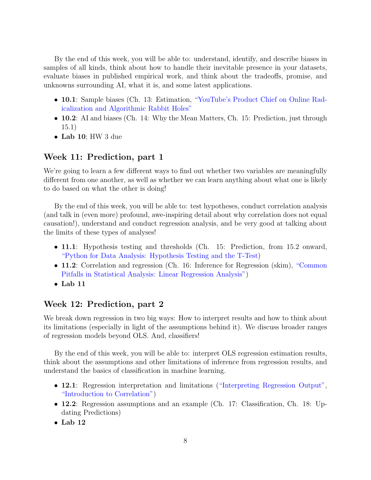By the end of this week, you will be able to: understand, identify, and describe biases in samples of all kinds, think about how to handle their inevitable presence in your datasets, evaluate biases in published empirical work, and think about the tradeoffs, promise, and unknowns surrounding AI, what it is, and some latest applications.

- 10.1: Sample biases (Ch. 13: Estimation, ["YouTube's Product Chief on Online Rad](https://www.nytimes.com/2019/03/29/technology/youtube-online-extremism.html?action=click&module=MoreInSection&pgtype=Article®ion=Footer&contentCollection=Technology)[icalization and Algorithmic Rabbit Holes"](https://www.nytimes.com/2019/03/29/technology/youtube-online-extremism.html?action=click&module=MoreInSection&pgtype=Article®ion=Footer&contentCollection=Technology)
- 10.2: AI and biases (Ch. 14: Why the Mean Matters, Ch. 15: Prediction, just through 15.1)
- Lab 10; HW 3 due

#### Week 11: Prediction, part 1

We're going to learn a few different ways to find out whether two variables are meaningfully different from one another, as well as whether we can learn anything about what one is likely to do based on what the other is doing!

By the end of this week, you will be able to: test hypotheses, conduct correlation analysis (and talk in (even more) profound, awe-inspiring detail about why correlation does not equal causation!), understand and conduct regression analysis, and be very good at talking about the limits of these types of analyses!

- 11.1: Hypothesis testing and thresholds (Ch. 15: Prediction, from 15.2 onward, ["Python for Data Analysis: Hypothesis Testing and the T-Test\)](http://hamelg.blogspot.com/2015/11/python-for-data-analysis-part-24.html)
- 11.2: Correlation and regression (Ch. 16: Inference for Regression (skim), ["Common](https://www.ncbi.nlm.nih.gov/pmc/articles/PMC5384397/) [Pitfalls in Statistical Analysis: Linear Regression Analysis"\)](https://www.ncbi.nlm.nih.gov/pmc/articles/PMC5384397/)
- Lab 11

#### Week 12: Prediction, part 2

We break down regression in two big ways: How to interpret results and how to think about its limitations (especially in light of the assumptions behind it). We discuss broader ranges of regression models beyond OLS. And, classifiers!

By the end of this week, you will be able to: interpret OLS regression estimation results, think about the assumptions and other limitations of inference from regression results, and understand the basics of classification in machine learning.

- 12.1: Regression interpretation and limitations [\("Interpreting Regression Output",](https://www.graduatetutor.com/statistics-tutor/interpreting-regression-output/) ["Introduction to Correlation"\)](https://www.datascience.com/learn-data-science/fundamentals/introduction-to-correlation-python-data-science)
- 12.2: Regression assumptions and an example (Ch. 17: Classification, Ch. 18: Updating Predictions)
- Lab 12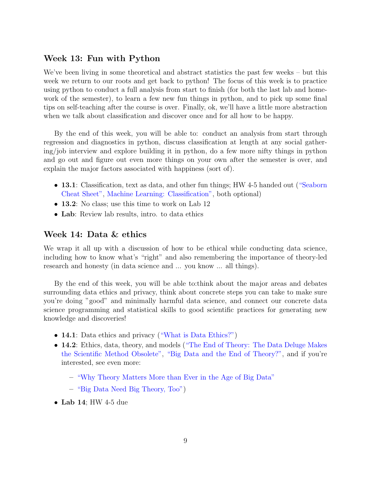#### Week 13: Fun with Python

We've been living in some theoretical and abstract statistics the past few weeks – but this week we return to our roots and get back to python! The focus of this week is to practice using python to conduct a full analysis from start to finish (for both the last lab and homework of the semester), to learn a few new fun things in python, and to pick up some final tips on self-teaching after the course is over. Finally, ok, we'll have a little more abstraction when we talk about classification and discover once and for all how to be happy.

By the end of this week, you will be able to: conduct an analysis from start through regression and diagnostics in python, discuss classification at length at any social gathering/job interview and explore building it in python, do a few more nifty things in python and go out and figure out even more things on your own after the semester is over, and explain the major factors associated with happiness (sort of).

- 13.1: Classification, text as data, and other fun things; HW 4-5 handed out [\("Seaborn](https://s3.amazonaws.com/assets.datacamp.com/blog_assets/Python_Seaborn_Cheat_Sheet.pdf)" [Cheat Sheet",](https://s3.amazonaws.com/assets.datacamp.com/blog_assets/Python_Seaborn_Cheat_Sheet.pdf) [Machine Learning: Classification",](https://towardsdatascience.com/supervised-machine-learning-classification-5e685fe18a6d) both optional)
- 13.2: No class; use this time to work on Lab 12
- Lab: Review lab results, intro. to data ethics

#### Week 14: Data & ethics

We wrap it all up with a discussion of how to be ethical while conducting data science, including how to know what's "right" and also remembering the importance of theory-led research and honesty (in data science and ... you know ... all things).

By the end of this week, you will be able to:think about the major areas and debates surrounding data ethics and privacy, think about concrete steps you can take to make sure you're doing "good" and minimally harmful data science, and connect our concrete data science programming and statistical skills to good scientific practices for generating new knowledge and discoveries!

- 14.1: Data ethics and privacy [\("What is Data Ethics?"\)](https://royalsocietypublishing.org/doi/full/10.1098/rsta.2016.0360)
- 14.2: Ethics, data, theory, and models [\("The End of Theory: The Data Deluge Makes](https://www.wired.com/2008/06/pb-theory/) [the Scientific Method Obsolete",](https://www.wired.com/2008/06/pb-theory/) ["Big Data and the End of Theory?",](https://www.theguardian.com/news/datablog/2012/mar/09/big-data-theory) and if you're interested, see even more:
	- ["Why Theory Matters More than Ever in the Age of Big Data"](https://files.eric.ed.gov/fulltext/EJ1127063.pdf)
	- ["Big Data Need Big Theory, Too"\)](https://royalsocietypublishing.org/doi/full/10.1098/rsta.2016.0153)
- Lab 14; HW 4-5 due